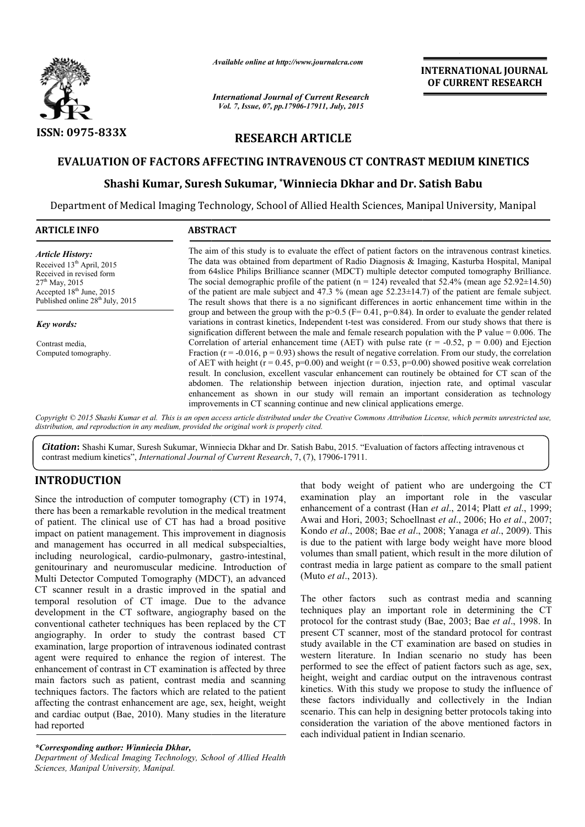

*Available online at http://www.journalcra.com*

*International Journal of Current Research Vol. 7, Issue, 07, pp.17906-17911, July, 2015*

**INTERNATIONAL INTERNATIONAL JOURNAL OF CURRENT RESEARCH** 

# **RESEARCH ARTICLE**

# **EVALUATION OF FACTORS AFFECTING INTRAVENOUS CT CONTRAST MEDIUM KINETICS**

# **Shashi Kumar, Suresh Sukumar, \*Winniecia Dkhar and Dr. Satish Babu**

Department of Medical Imaging Technology, School of Allied Health Sciences, Manipal University, Manipal Department of

| <b>ARTICLE INFO</b>                                                                                                                                                                                      | <b>ABSTRACT</b>                                                                                                                                                                                                                                                                                                                                                                                                                                                                                                                                                                                                                                                                                                                |
|----------------------------------------------------------------------------------------------------------------------------------------------------------------------------------------------------------|--------------------------------------------------------------------------------------------------------------------------------------------------------------------------------------------------------------------------------------------------------------------------------------------------------------------------------------------------------------------------------------------------------------------------------------------------------------------------------------------------------------------------------------------------------------------------------------------------------------------------------------------------------------------------------------------------------------------------------|
| <b>Article History:</b><br>Received 13 <sup>th</sup> April, 2015<br>Received in revised form<br>$27th$ May, 2015<br>Accepted 18 <sup>th</sup> June, 2015<br>Published online 28 <sup>th</sup> July, 2015 | The aim of this study is to evaluate the effect of patient factors on the intravenous contrast kinetics.<br>The data was obtained from department of Radio Diagnosis & Imaging, Kasturba Hospital, Manipal<br>from 64 slice Philips Brilliance scanner (MDCT) multiple detector computed tomography Brilliance.<br>The social demographic profile of the patient ( $n = 124$ ) revealed that 52.4% (mean age 52.92 $\pm$ 14.50)<br>of the patient are male subject and 47.3 % (mean age $52.23 \pm 14.7$ ) of the patient are female subject.<br>The result shows that there is a no significant differences in aortic enhancement time within in the                                                                          |
| Key words:                                                                                                                                                                                               | group and between the group with the $p>0.5$ (F= 0.41, $p=0.84$ ). In order to evaluate the gender related<br>variations in contrast kinetics, Independent t-test was considered. From our study shows that there is<br>signification different between the male and female research population with the P value $= 0.006$ . The                                                                                                                                                                                                                                                                                                                                                                                               |
| Contrast media,<br>Computed tomography.                                                                                                                                                                  | Correlation of arterial enhancement time (AET) with pulse rate ( $r = -0.52$ , $p = 0.00$ ) and Ejection<br>Fraction ( $r = -0.016$ , $p = 0.93$ ) shows the result of negative correlation. From our study, the correlation<br>of AET with height ( $r = 0.45$ , $p=0.00$ ) and weight ( $r = 0.53$ , $p=0.00$ ) showed positive weak correlation<br>result. In conclusion, excellent vascular enhancement can routinely be obtained for CT scan of the<br>abdomen. The relationship between injection duration, injection rate, and optimal vascular<br>enhancement as shown in our study will remain an important consideration as technology<br>improvements in CT scanning continue and new clinical applications emerge. |

Copyright © 2015 Shashi Kumar et al. This is an open access article distributed under the Creative Commons Attribution License, which permits unrestricted use, *distribution, and reproduction in any medium, provided the original work is properly cited.*

Citation: Shashi Kumar, Suresh Sukumar, Winniecia Dkhar and Dr. Satish Babu, 2015. "Evaluation of factors affecting intravenous ct contrast medium kinetics", *International Journal of Current Research* , 7, (7), 17906-17911.

# **INTRODUCTION**

Since the introduction of computer tomography (CT) in 1974, there has been a remarkable revolution in the medical treatment of patient. The clinical use of CT has had a broad positive impact on patient management. This improvement in diagnosis and management has occurred in all medical subspecialties, including neurological, cardio-pulmonary, gastro-intestinal, genitourinary and neuromuscular medicine. Introduction of Multi Detector Computed Tomography (MDCT), an advanced CT scanner result in a drastic improved in the spatial and temporal resolution of CT image. Due to the advance development in the CT software, angiography based on the conventional catheter techniques has been replaced by the CT angiography. In order to study the contrast based CT examination, large proportion of intravenous iodinated contrast agent were required to enhance the region of interest. The enhancement of contrast in CT examination is affected by three main factors such as patient, contrast media and scanning techniques factors. The factors which are related to the patient affecting the contrast enhancement are age, sex, height, weight and cardiac output (Bae, 2010). Many studies in the literature had reported

that body weight of patient who are undergoing the CT examination play an important role in the vascular enhancement of a contrast (Han et al., 2014; Platt et al., 1999; Awai and Hori, 2003; Schoellnast *et al*., 2006; Ho *et al*., 2007; Kondo *et al*., 2008; Bae *et al*., 2008; Yanaga *et al*., 2009). This is due to the patient with large body weight have more blood volumes than small patient, which result in the more dilution of contrast media in large patient as compare to the small patient (Muto *et al*., 2013). of patient who are undergoing the CT<br>an important role in the vascular<br>ontrast (Han *et al.*, 2014; Platt *et al.*, 1999; the patient with large body weight have more blood<br>than small patient, which result in the more dilution of<br>media in large patient as compare to the small patient<br> $al., 2013$ ).<br>er factors such as contrast media and scanning<br>

The other factors such as contrast media and scanning techniques play an important role in determining the CT protocol for the contrast study (Bae, 2003; Bae et al., 1998. In present CT scanner, most of the standard protocol for contrast study available in the CT examination are based on studies in western literature. In Indian scenario no study has been western literature. In Indian scenario no study has been performed to see the effect of patient factors such as age, sex, height, weight and cardiac output on the intravenous contrast kinetics. With this study we propose to study the influence of these factors individually and collectively in the Indian scenario. This can help in designing better protocols taking into consideration the variation of the above mentioned factors in each individual patient in Indian scenario. With this study we propose to study the influence tors individually and collectively in the Indi<br>This can help in designing better protocols taking in<br>tion the variation of the above mentioned factors<br>vidual patient in Ind

*<sup>\*</sup>Corresponding author: Winniecia Dkhar,*

*Department of Medical Imaging Technology, School of Allied Health Sciences, Manipal University, Manipal.*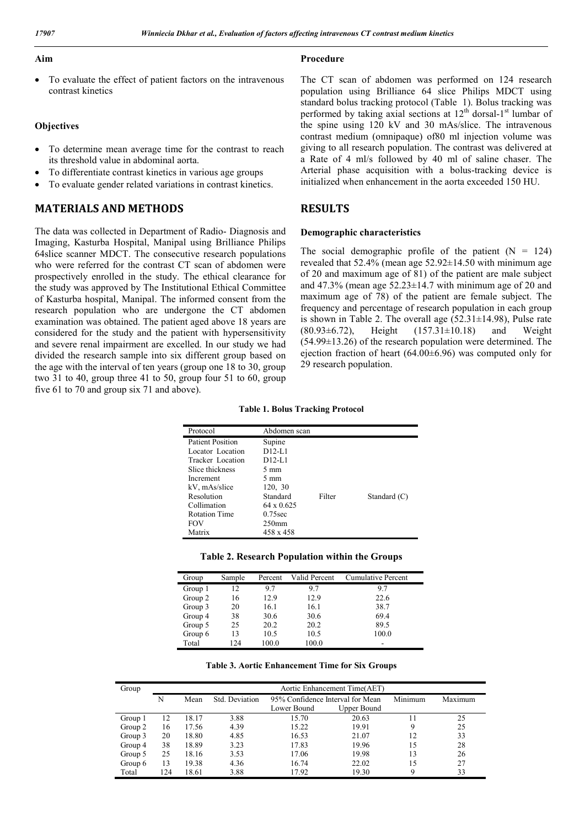**Procedure** 

#### **Aim**

 To evaluate the effect of patient factors on the intravenous contrast kinetics

### **Objectives**

- To determine mean average time for the contrast to reach its threshold value in abdominal aorta.
- To differentiate contrast kinetics in various age groups
- To evaluate gender related variations in contrast kinetics.

# **MATERIALS AND METHODS**

The data was collected in Department of Radio- Diagnosis and Imaging, Kasturba Hospital, Manipal using Brilliance Philips 64slice scanner MDCT. The consecutive research populations who were referred for the contrast CT scan of abdomen were prospectively enrolled in the study. The ethical clearance for the study was approved by The Institutional Ethical Committee of Kasturba hospital, Manipal. The informed consent from the research population who are undergone the CT abdomen examination was obtained. The patient aged above 18 years are considered for the study and the patient with hypersensitivity and severe renal impairment are excelled. In our study we had divided the research sample into six different group based on the age with the interval of ten years (group one 18 to 30, group two 31 to 40, group three 41 to 50, group four 51 to 60, group five 61 to 70 and group six 71 and above).

The CT scan of abdomen was performed on 124 research population using Brilliance 64 slice Philips MDCT using standard bolus tracking protocol (Table 1). Bolus tracking was performed by taking axial sections at  $12<sup>th</sup>$  dorsal-1<sup>st</sup> lumbar of the spine using 120 kV and 30 mAs/slice. The intravenous contrast medium (omnipaque) of80 ml injection volume was giving to all research population. The contrast was delivered at a Rate of 4 ml/s followed by 40 ml of saline chaser. The Arterial phase acquisition with a bolus-tracking device is initialized when enhancement in the aorta exceeded 150 HU.

## **RESULTS**

#### **Demographic characteristics**

The social demographic profile of the patient  $(N = 124)$ revealed that 52.4% (mean age 52.92±14.50 with minimum age of 20 and maximum age of 81) of the patient are male subject and  $47.3\%$  (mean age  $52.23\pm14.7$  with minimum age of 20 and maximum age of 78) of the patient are female subject. The frequency and percentage of research population in each group is shown in Table 2. The overall age  $(52.31 \pm 14.98)$ , Pulse rate (80.93±6.72), Height (157.31±10.18) and Weight  $(54.99\pm13.26)$  of the research population were determined. The ejection fraction of heart (64.00±6.96) was computed only for 29 research population.

**Table 1. Bolus Tracking Protocol**

| Protocol                | Abdomen scan      |        |              |
|-------------------------|-------------------|--------|--------------|
| <b>Patient Position</b> | Supine            |        |              |
| Locator Location        | $D12-I.1$         |        |              |
| Tracker Location        | $D12-I.1$         |        |              |
| Slice thickness         | $5 \text{ mm}$    |        |              |
| Increment               | $5 \text{ mm}$    |        |              |
| kV, mAs/slice           | 120, 30           |        |              |
| Resolution              | Standard          | Filter | Standard (C) |
| Collimation             | $64 \times 0.625$ |        |              |
| <b>Rotation Time</b>    | $0.75$ sec        |        |              |
| <b>FOV</b>              | 250 <sub>mm</sub> |        |              |
| Matrix                  | 458 x 458         |        |              |
|                         |                   |        |              |

|  |  | Table 2. Research Population within the Groups |  |  |
|--|--|------------------------------------------------|--|--|
|--|--|------------------------------------------------|--|--|

| Group   | Sample | Percent | Valid Percent | Cumulative Percent |
|---------|--------|---------|---------------|--------------------|
| Group 1 | 12     | 9.7     | 97            | 9.7                |
| Group 2 | 16     | 12.9    | 12.9          | 22.6               |
| Group 3 | 20     | 16.1    | 16.1          | 38.7               |
| Group 4 | 38     | 30.6    | 30.6          | 69.4               |
| Group 5 | 25     | 20.2    | 20.2          | 89.5               |
| Group 6 | 13     | 10.5    | 10.5          | 100.0              |
| Total   | 124    | 100.0   | 100.0         |                    |

**Table 3. Aortic Enhancement Time for Six Groups**

| Group   |     |       |                |                                  | Aortic Enhancement Time(AET) |         |         |
|---------|-----|-------|----------------|----------------------------------|------------------------------|---------|---------|
|         | N   | Mean  | Std. Deviation | 95% Confidence Interval for Mean |                              | Minimum | Maximum |
|         |     |       |                | Lower Bound                      | <b>Upper Bound</b>           |         |         |
| Group 1 | 12  | 18.17 | 3.88           | 15.70                            | 20.63                        | 11      | 25      |
| Group 2 | 16  | 17.56 | 4.39           | 15.22                            | 19.91                        | 9       | 25      |
| Group 3 | 20  | 18.80 | 4.85           | 16.53                            | 21.07                        | 12      | 33      |
| Group 4 | 38  | 18.89 | 3.23           | 17.83                            | 19.96                        | 15      | 28      |
| Group 5 | 25  | 18.16 | 3.53           | 17.06                            | 19.98                        | 13      | 26      |
| Group 6 | 13  | 19.38 | 4.36           | 16.74                            | 22.02                        | 15      | 27      |
| Total   | 124 | 18.61 | 3.88           | 17.92                            | 19.30                        | 9       | 33      |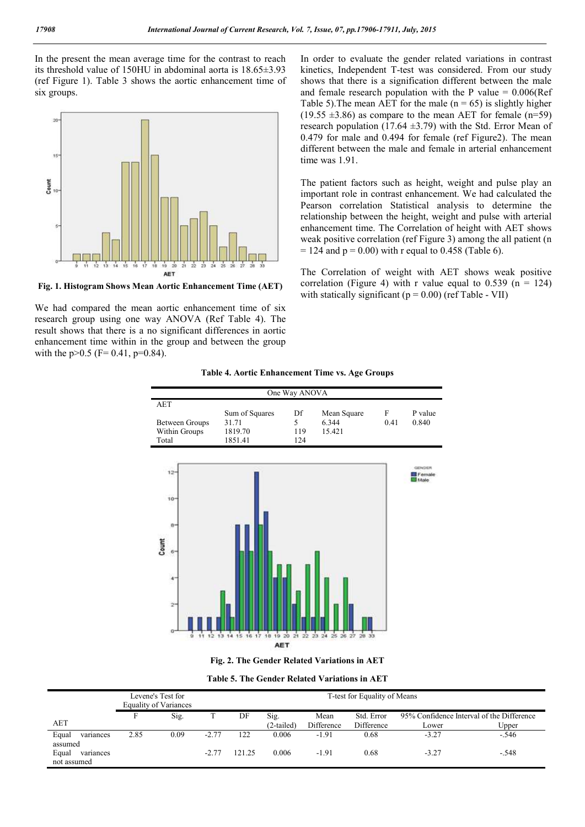In the present the mean average time for the contrast to reach its threshold value of 150HU in abdominal aorta is 18.65±3.93 (ref Figure 1). Table 3 shows the aortic enhancement time of six groups.



**Fig. 1. Histogram Shows Mean Aortic Enhancement Time (AET)**

We had compared the mean aortic enhancement time of six research group using one way ANOVA (Ref Table 4). The result shows that there is a no significant differences in aortic enhancement time within in the group and between the group with the  $p > 0.5$  (F= 0.41,  $p = 0.84$ ).

In order to evaluate the gender related variations in contrast kinetics, Independent T-test was considered. From our study shows that there is a signification different between the male and female research population with the P value  $= 0.006$ (Ref Table 5). The mean AET for the male  $(n = 65)$  is slightly higher  $(19.55 \pm 3.86)$  as compare to the mean AET for female (n=59) research population (17.64  $\pm$ 3.79) with the Std. Error Mean of 0.479 for male and 0.494 for female (ref Figure2). The mean different between the male and female in arterial enhancement time was 1.91.

The patient factors such as height, weight and pulse play an important role in contrast enhancement. We had calculated the Pearson correlation Statistical analysis to determine the relationship between the height, weight and pulse with arterial enhancement time. The Correlation of height with AET shows weak positive correlation (ref Figure 3) among the all patient (n  $= 124$  and  $p = 0.00$ ) with r equal to 0.458 (Table 6).

The Correlation of weight with AET shows weak positive correlation (Figure 4) with r value equal to  $0.539$  (n = 124) with statically significant ( $p = 0.00$ ) (ref Table - VII)

| Table 4. Aortic Enhancement Time vs. Age Groups |  |  |
|-------------------------------------------------|--|--|
|-------------------------------------------------|--|--|

| One Way ANOVA  |                |     |             |      |         |
|----------------|----------------|-----|-------------|------|---------|
| AET            |                |     |             |      |         |
|                | Sum of Squares | Df  | Mean Square | Е    | P value |
| Between Groups | 31.71          |     | 6.344       | 0.41 | 0.840   |
| Within Groups  | 1819.70        | 119 | 15.421      |      |         |
| Total          | 1851.41        | 124 |             |      |         |
|                |                |     |             |      |         |



**Fig. 2. The Gender Related Variations in AET**

| <b>Table 5. The Gender Related Variations in AET</b> |  |
|------------------------------------------------------|--|
|------------------------------------------------------|--|

|                                              |      | Levene's Test for<br>Equality of Variances |         | T-test for Equality of Means |                      |                    |                          |                                                    |         |
|----------------------------------------------|------|--------------------------------------------|---------|------------------------------|----------------------|--------------------|--------------------------|----------------------------------------------------|---------|
| AET                                          |      | Sig.                                       |         | DF                           | Sig.<br>$(2-tailed)$ | Mean<br>Difference | Std. Error<br>Difference | 95% Confidence Interval of the Difference<br>Lower | Upper   |
| Equal<br>variances                           | 2.85 | 0.09                                       | $-2.77$ | 122                          | 0.006                | $-1.91$            | 0.68                     | $-3.27$                                            | $-.546$ |
| assumed<br>Equal<br>variances<br>not assumed |      |                                            | -2.77   | 121.25                       | 0.006                | $-1.91$            | 0.68                     | $-3.27$                                            | $-.548$ |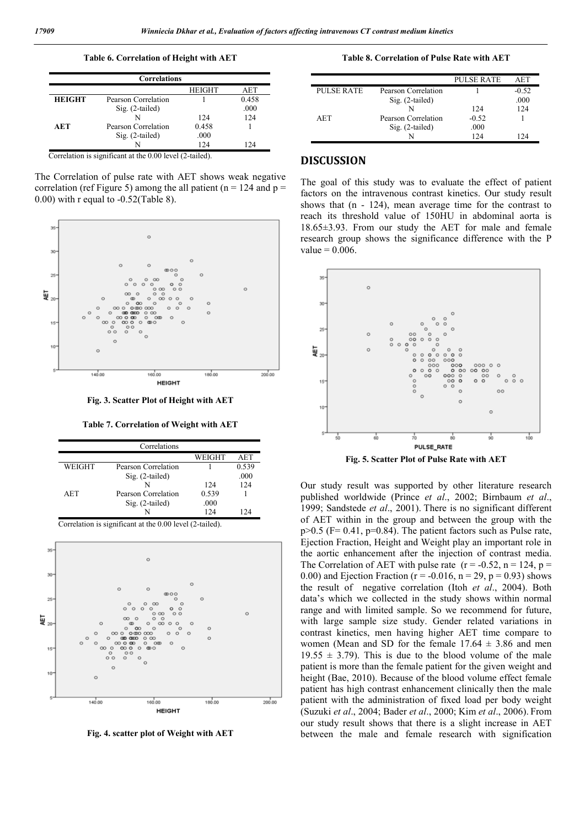**Table 6. Correlation of Height with AET**

|               | <b>Correlations</b> |               |       |
|---------------|---------------------|---------------|-------|
|               |                     | <b>HEIGHT</b> | AET   |
| <b>HEIGHT</b> | Pearson Correlation |               | 0.458 |
|               | $Sig. (2-tailed)$   |               | .000  |
|               |                     | 124           | 124   |
| AET           | Pearson Correlation | 0.458         |       |
|               | Sig. (2-tailed)     | .000          |       |
|               |                     | 124           | 124   |

Correlation is significant at the 0.00 level (2-tailed).

The Correlation of pulse rate with AET shows weak negative correlation (ref Figure 5) among the all patient ( $n = 124$  and  $p =$ 0.00) with r equal to  $-0.52$ (Table 8).



**Fig. 3. Scatter Plot of Height with AET**

**Table 7. Correlation of Weight with AET**

|            | Correlations        |        |       |
|------------|---------------------|--------|-------|
|            |                     | WEIGHT | AET   |
| WEIGHT     | Pearson Correlation |        | 0.539 |
|            | Sig. (2-tailed)     |        | .000  |
|            |                     | 124    | 124   |
| <b>AET</b> | Pearson Correlation | 0.539  |       |
|            | Sig. (2-tailed)     | .000   |       |
|            |                     | 124    | 124   |

Correlation is significant at the 0.00 level (2-tailed).



**Fig. 4. scatter plot of Weight with AET**

**Table 8. Correlation of Pulse Rate with AET**

|            |                     | <b>PULSE RATE</b> | AET     |
|------------|---------------------|-------------------|---------|
| PULSE RATE | Pearson Correlation |                   | $-0.52$ |
|            | $Sig. (2-tailed)$   |                   | .000    |
|            |                     | 124               | 124     |
| AET        | Pearson Correlation | $-0.52$           |         |
|            | $Sig. (2-tailed)$   | .000              |         |
|            |                     | 124               | 24      |

## **DISCUSSION**

The goal of this study was to evaluate the effect of patient factors on the intravenous contrast kinetics. Our study result shows that (n - 124), mean average time for the contrast to reach its threshold value of 150HU in abdominal aorta is 18.65±3.93. From our study the AET for male and female research group shows the significance difference with the P value  $= 0.006$ .



**Fig. 5. Scatter Plot of Pulse Rate with AET**

Our study result was supported by other literature research published worldwide (Prince *et al*., 2002; Birnbaum *et al*., 1999; Sandstede *et al*., 2001). There is no significant different of AET within in the group and between the group with the  $p>0.5$  (F= 0.41,  $p=0.84$ ). The patient factors such as Pulse rate, Ejection Fraction, Height and Weight play an important role in the aortic enhancement after the injection of contrast media. The Correlation of AET with pulse rate  $(r = -0.52, n = 124, p =$ 0.00) and Ejection Fraction ( $r = -0.016$ ,  $n = 29$ ,  $p = 0.93$ ) shows the result of negative correlation (Itoh *et al*., 2004). Both data's which we collected in the study shows within normal range and with limited sample. So we recommend for future, with large sample size study. Gender related variations in contrast kinetics, men having higher AET time compare to women (Mean and SD for the female  $17.64 \pm 3.86$  and men  $19.55 \pm 3.79$ ). This is due to the blood volume of the male patient is more than the female patient for the given weight and height (Bae, 2010). Because of the blood volume effect female patient has high contrast enhancement clinically then the male patient with the administration of fixed load per body weight (Suzuki *et al*., 2004; Bader *et al*., 2000; Kim *et al*., 2006). From our study result shows that there is a slight increase in AET between the male and female research with signification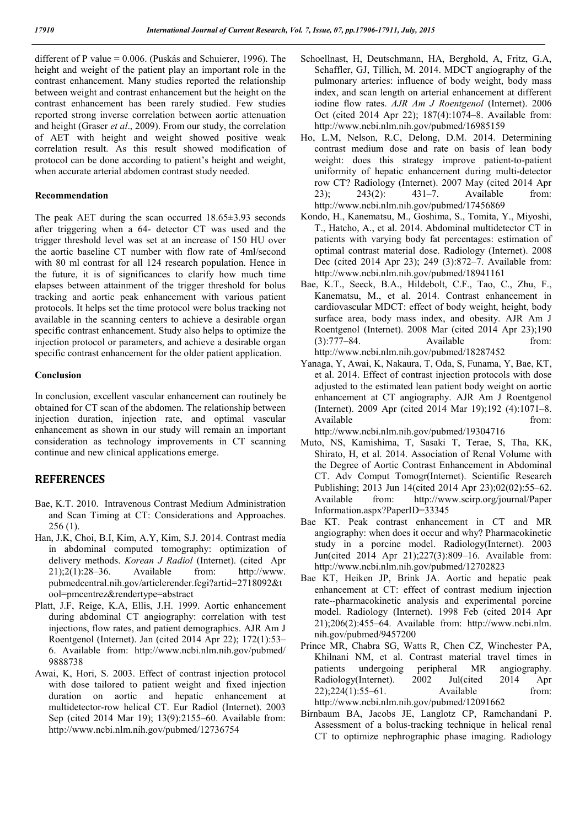different of P value = 0.006. (Puskás and Schuierer, 1996). The height and weight of the patient play an important role in the contrast enhancement. Many studies reported the relationship between weight and contrast enhancement but the height on the contrast enhancement has been rarely studied. Few studies reported strong inverse correlation between aortic attenuation and height (Graser *et al*., 2009). From our study, the correlation of AET with height and weight showed positive weak correlation result. As this result showed modification of protocol can be done according to patient's height and weight, when accurate arterial abdomen contrast study needed.

### **Recommendation**

The peak AET during the scan occurred 18.65±3.93 seconds after triggering when a 64- detector CT was used and the trigger threshold level was set at an increase of 150 HU over the aortic baseline CT number with flow rate of 4ml/second with 80 ml contrast for all 124 research population. Hence in the future, it is of significances to clarify how much time elapses between attainment of the trigger threshold for bolus tracking and aortic peak enhancement with various patient protocols. It helps set the time protocol were bolus tracking not available in the scanning centers to achieve a desirable organ specific contrast enhancement. Study also helps to optimize the injection protocol or parameters, and achieve a desirable organ specific contrast enhancement for the older patient application.

### **Conclusion**

In conclusion, excellent vascular enhancement can routinely be obtained for CT scan of the abdomen. The relationship between injection duration, injection rate, and optimal vascular enhancement as shown in our study will remain an important consideration as technology improvements in CT scanning continue and new clinical applications emerge.

## **REFERENCES**

- Bae, K.T. 2010. Intravenous Contrast Medium Administration and Scan Timing at CT: Considerations and Approaches. 256 (1).
- Han, J.K, Choi, B.I, Kim, A.Y, Kim, S.J. 2014. Contrast media in abdominal computed tomography: optimization of delivery methods. *Korean J Radiol* (Internet). (cited Apr 21);2(1):28–36. Available from: http://www. pubmedcentral.nih.gov/articlerender.fcgi?artid=2718092&t ool=pmcentrez&rendertype=abstract
- Platt, J.F, Reige, K.A, Ellis, J.H. 1999. Aortic enhancement during abdominal CT angiography: correlation with test injections, flow rates, and patient demographics. AJR Am J Roentgenol (Internet). Jan (cited 2014 Apr 22); 172(1):53– 6. Available from: http://www.ncbi.nlm.nih.gov/pubmed/ 9888738
- Awai, K, Hori, S. 2003. Effect of contrast injection protocol with dose tailored to patient weight and fixed injection duration on aortic and hepatic enhancement at multidetector-row helical CT. Eur Radiol (Internet). 2003 Sep (cited 2014 Mar 19); 13(9):2155–60. Available from: http://www.ncbi.nlm.nih.gov/pubmed/12736754
- Schoellnast, H, Deutschmann, HA, Berghold, A, Fritz, G.A, Schaffler, GJ, Tillich, M. 2014. MDCT angiography of the pulmonary arteries: influence of body weight, body mass index, and scan length on arterial enhancement at different iodine flow rates. *AJR Am J Roentgenol* (Internet). 2006 Oct (cited 2014 Apr 22); 187(4):1074–8. Available from: http://www.ncbi.nlm.nih.gov/pubmed/16985159
- Ho, L.M, Nelson, R.C, Delong, D.M. 2014. Determining contrast medium dose and rate on basis of lean body weight: does this strategy improve patient-to-patient uniformity of hepatic enhancement during multi-detector row CT? Radiology (Internet). 2007 May (cited 2014 Apr 23); 243(2): 431–7. Available from: http://www.ncbi.nlm.nih.gov/pubmed/17456869
- Kondo, H., Kanematsu, M., Goshima, S., Tomita, Y., Miyoshi, T., Hatcho, A., et al. 2014. Abdominal multidetector CT in patients with varying body fat percentages: estimation of optimal contrast material dose. Radiology (Internet). 2008 Dec (cited 2014 Apr 23); 249 (3):872–7. Available from: http://www.ncbi.nlm.nih.gov/pubmed/18941161
- Bae, K.T., Seeck, B.A., Hildebolt, C.F., Tao, C., Zhu, F., Kanematsu, M., et al. 2014. Contrast enhancement in cardiovascular MDCT: effect of body weight, height, body surface area, body mass index, and obesity. AJR Am J Roentgenol (Internet). 2008 Mar (cited 2014 Apr 23);190  $(3):777-84.$  Available from: http://www.ncbi.nlm.nih.gov/pubmed/18287452
- Yanaga, Y, Awai, K, Nakaura, T, Oda, S, Funama, Y, Bae, KT, et al. 2014. Effect of contrast injection protocols with dose adjusted to the estimated lean patient body weight on aortic enhancement at CT angiography. AJR Am J Roentgenol (Internet). 2009 Apr (cited 2014 Mar 19);192 (4):1071–8. Available from: http://www.ncbi.nlm.nih.gov/pubmed/19304716
- Muto, NS, Kamishima, T, Sasaki T, Terae, S, Tha, KK, Shirato, H, et al. 2014. Association of Renal Volume with the Degree of Aortic Contrast Enhancement in Abdominal CT. Adv Comput Tomogr(Internet). Scientific Research Publishing; 2013 Jun 14(cited 2014 Apr 23);02(02):55–62. Available from: http://www.scirp.org/journal/Paper Information.aspx?PaperID=33345
- Bae KT. Peak contrast enhancement in CT and MR angiography: when does it occur and why? Pharmacokinetic study in a porcine model. Radiology(Internet). 2003 Jun(cited 2014 Apr 21);227(3):809–16. Available from: http://www.ncbi.nlm.nih.gov/pubmed/12702823
- Bae KT, Heiken JP, Brink JA. Aortic and hepatic peak enhancement at CT: effect of contrast medium injection rate--pharmacokinetic analysis and experimental porcine model. Radiology (Internet). 1998 Feb (cited 2014 Apr 21);206(2):455–64. Available from: http://www.ncbi.nlm. nih.gov/pubmed/9457200
- Prince MR, Chabra SG, Watts R, Chen CZ, Winchester PA, Khilnani NM, et al. Contrast material travel times in patients undergoing peripheral MR angiography. Radiology(Internet). 2002 Jul(cited 2014 Apr 22);224(1):55–61. Available from: http://www.ncbi.nlm.nih.gov/pubmed/12091662
- Birnbaum BA, Jacobs JE, Langlotz CP, Ramchandani P. Assessment of a bolus-tracking technique in helical renal CT to optimize nephrographic phase imaging. Radiology